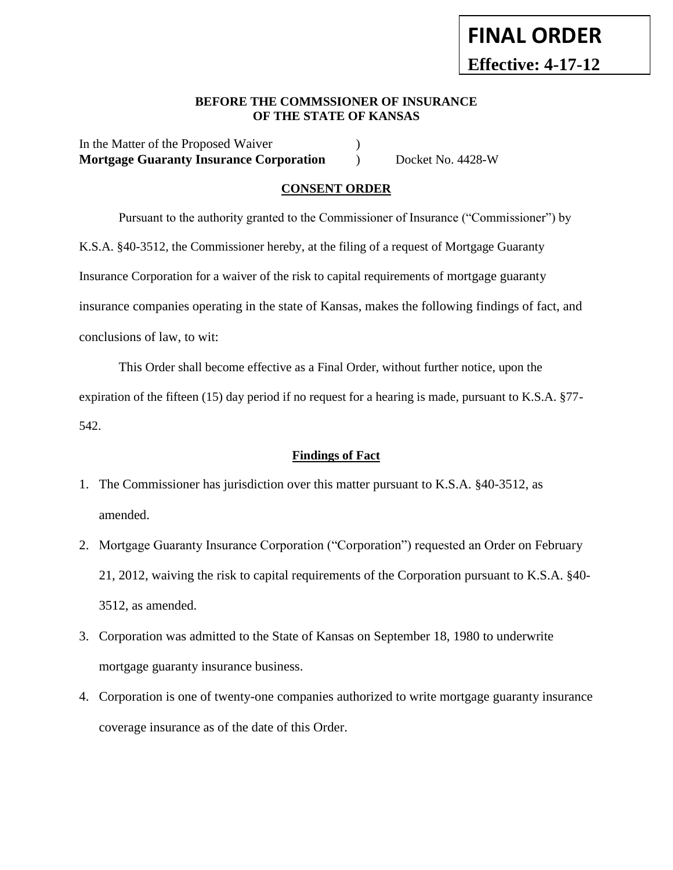#### **BEFORE THE COMMSSIONER OF INSURANCE OF THE STATE OF KANSAS**

In the Matter of the Proposed Waiver (1) **Mortgage Guaranty Insurance Corporation** ) Docket No. 4428-W

### **CONSENT ORDER**

Pursuant to the authority granted to the Commissioner of Insurance ("Commissioner") by K.S.A. §40-3512, the Commissioner hereby, at the filing of a request of Mortgage Guaranty Insurance Corporation for a waiver of the risk to capital requirements of mortgage guaranty insurance companies operating in the state of Kansas, makes the following findings of fact, and conclusions of law, to wit:

This Order shall become effective as a Final Order, without further notice, upon the expiration of the fifteen (15) day period if no request for a hearing is made, pursuant to K.S.A. §77- 542.

### **Findings of Fact**

- 1. The Commissioner has jurisdiction over this matter pursuant to K.S.A. §40-3512, as amended.
- 2. Mortgage Guaranty Insurance Corporation ("Corporation") requested an Order on February 21, 2012, waiving the risk to capital requirements of the Corporation pursuant to K.S.A. §40- 3512, as amended.
- 3. Corporation was admitted to the State of Kansas on September 18, 1980 to underwrite mortgage guaranty insurance business.
- 4. Corporation is one of twenty-one companies authorized to write mortgage guaranty insurance coverage insurance as of the date of this Order.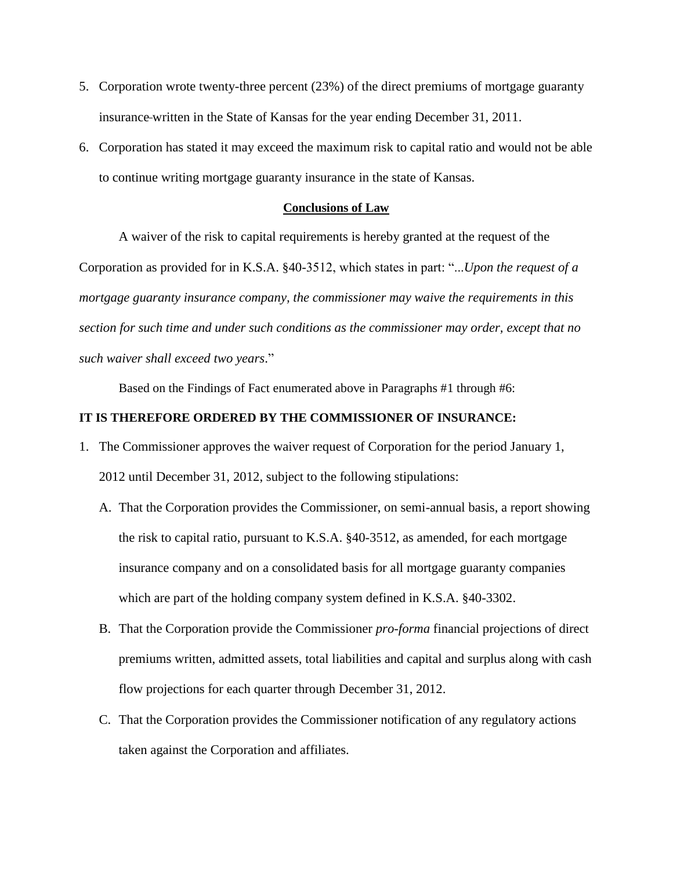- 5. Corporation wrote twenty-three percent (23%) of the direct premiums of mortgage guaranty insurance written in the State of Kansas for the year ending December 31, 2011.
- 6. Corporation has stated it may exceed the maximum risk to capital ratio and would not be able to continue writing mortgage guaranty insurance in the state of Kansas.

#### **Conclusions of Law**

A waiver of the risk to capital requirements is hereby granted at the request of the Corporation as provided for in K.S.A. §40-3512, which states in part: "...*Upon the request of a mortgage guaranty insurance company, the commissioner may waive the requirements in this section for such time and under such conditions as the commissioner may order, except that no such waiver shall exceed two years*."

Based on the Findings of Fact enumerated above in Paragraphs #1 through #6:

#### **IT IS THEREFORE ORDERED BY THE COMMISSIONER OF INSURANCE:**

- 1. The Commissioner approves the waiver request of Corporation for the period January 1, 2012 until December 31, 2012, subject to the following stipulations:
	- A. That the Corporation provides the Commissioner, on semi-annual basis, a report showing the risk to capital ratio, pursuant to K.S.A. §40-3512, as amended, for each mortgage insurance company and on a consolidated basis for all mortgage guaranty companies which are part of the holding company system defined in K.S.A. §40-3302.
	- B. That the Corporation provide the Commissioner *pro-forma* financial projections of direct premiums written, admitted assets, total liabilities and capital and surplus along with cash flow projections for each quarter through December 31, 2012.
	- C. That the Corporation provides the Commissioner notification of any regulatory actions taken against the Corporation and affiliates.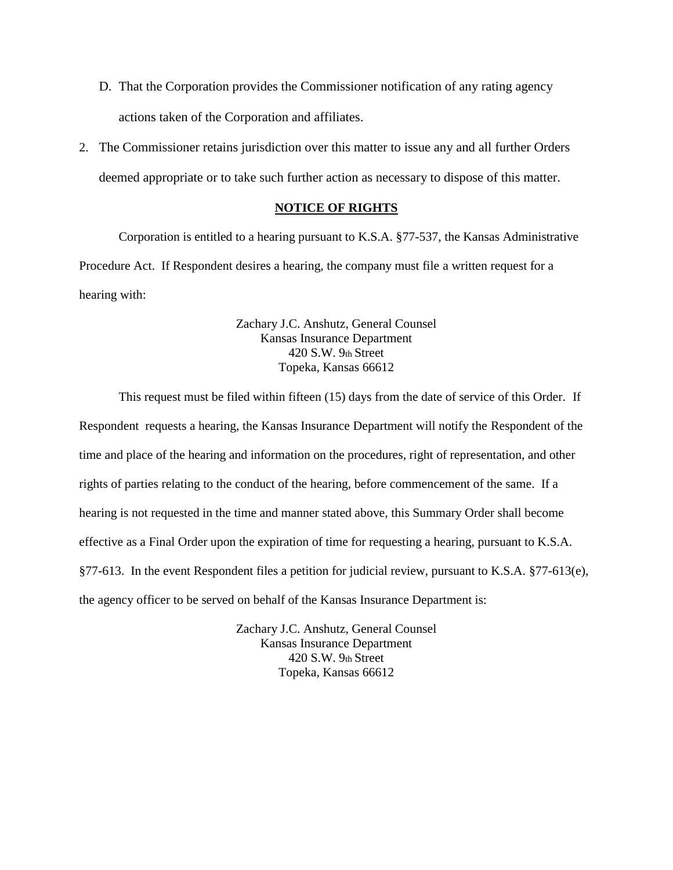- D. That the Corporation provides the Commissioner notification of any rating agency actions taken of the Corporation and affiliates.
- 2. The Commissioner retains jurisdiction over this matter to issue any and all further Orders deemed appropriate or to take such further action as necessary to dispose of this matter.

### **NOTICE OF RIGHTS**

Corporation is entitled to a hearing pursuant to K.S.A. §77-537, the Kansas Administrative Procedure Act. If Respondent desires a hearing, the company must file a written request for a hearing with:

> Zachary J.C. Anshutz, General Counsel Kansas Insurance Department 420 S.W. 9th Street Topeka, Kansas 66612

This request must be filed within fifteen (15) days from the date of service of this Order. If Respondent requests a hearing, the Kansas Insurance Department will notify the Respondent of the time and place of the hearing and information on the procedures, right of representation, and other rights of parties relating to the conduct of the hearing, before commencement of the same. If a hearing is not requested in the time and manner stated above, this Summary Order shall become effective as a Final Order upon the expiration of time for requesting a hearing, pursuant to K.S.A. §77-613. In the event Respondent files a petition for judicial review, pursuant to K.S.A. §77-613(e), the agency officer to be served on behalf of the Kansas Insurance Department is:

> Zachary J.C. Anshutz, General Counsel Kansas Insurance Department 420 S.W. 9th Street Topeka, Kansas 66612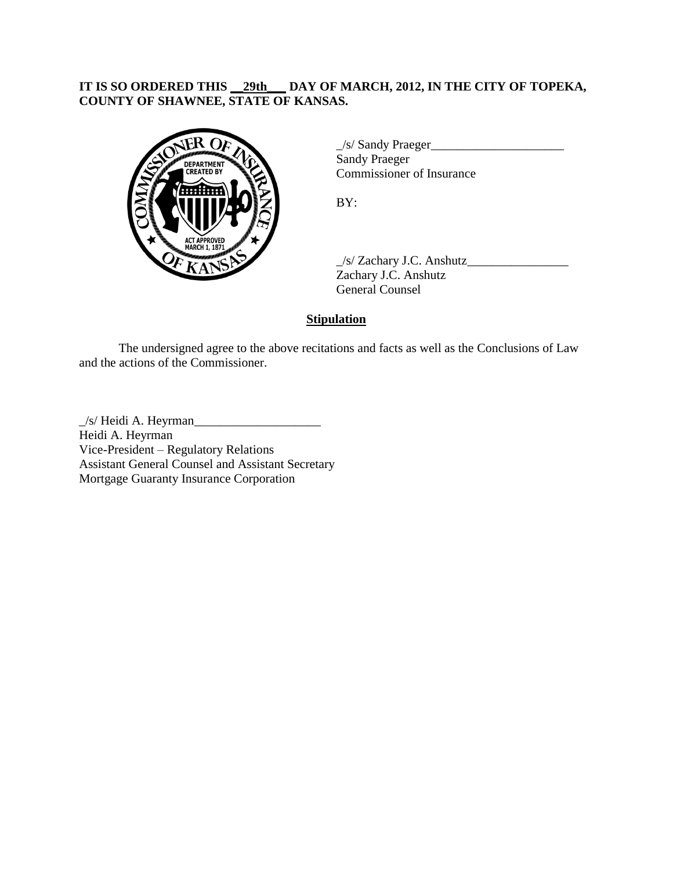# **IT IS SO ORDERED THIS \_\_29th\_\_\_ DAY OF MARCH, 2012, IN THE CITY OF TOPEKA, COUNTY OF SHAWNEE, STATE OF KANSAS.**



\_/s/ Sandy Praeger\_\_\_\_\_\_\_\_\_\_\_\_\_\_\_\_\_\_\_\_\_ Sandy Praeger Commissioner of Insurance

BY:

\_/s/ Zachary J.C. Anshutz\_\_\_\_\_\_\_\_\_\_\_\_\_\_\_\_ Zachary J.C. Anshutz General Counsel

# **Stipulation**

The undersigned agree to the above recitations and facts as well as the Conclusions of Law and the actions of the Commissioner.

 $\angle$ s/ Heidi A. Heyrman $\angle$ Heidi A. Heyrman Vice-President – Regulatory Relations Assistant General Counsel and Assistant Secretary Mortgage Guaranty Insurance Corporation